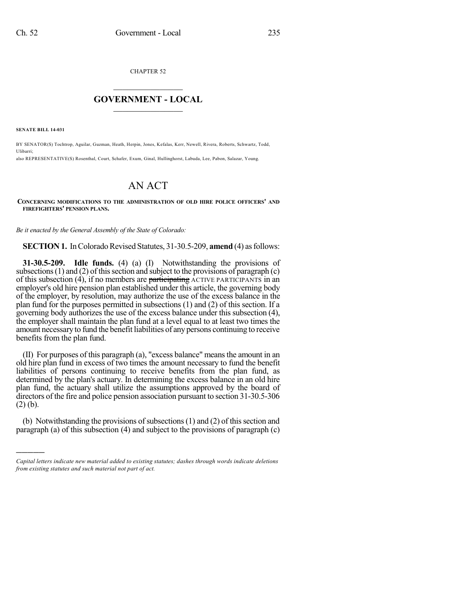CHAPTER 52

## $\mathcal{L}_\text{max}$  . The set of the set of the set of the set of the set of the set of the set of the set of the set of the set of the set of the set of the set of the set of the set of the set of the set of the set of the set **GOVERNMENT - LOCAL**  $\_$

**SENATE BILL 14-031**

)))))

BY SENATOR(S) Tochtrop, Aguilar, Guzman, Heath, Herpin, Jones, Kefalas, Kerr, Newell, Rivera, Roberts, Schwartz, Todd, Ulibarri; also REPRESENTATIVE(S) Rosenthal, Court, Schafer, Exum, Ginal, Hullinghorst, Labuda, Lee, Pabon, Salazar, Young.

# AN ACT

#### **CONCERNING MODIFICATIONS TO THE ADMINISTRATION OF OLD HIRE POLICE OFFICERS' AND FIREFIGHTERS' PENSION PLANS.**

*Be it enacted by the General Assembly of the State of Colorado:*

**SECTION 1.** In Colorado Revised Statutes, 31-30.5-209, **amend** (4) as follows:

**31-30.5-209. Idle funds.** (4) (a) (I) Notwithstanding the provisions of subsections  $(1)$  and  $(2)$  of this section and subject to the provisions of paragraph  $(c)$ of this subsection  $(4)$ , if no members are participating  $\overline{A}$ CTIVE PARTICIPANTS in an employer's old hire pension plan established under this article, the governing body of the employer, by resolution, may authorize the use of the excess balance in the plan fund for the purposes permitted in subsections (1) and (2) of this section. If a governing body authorizes the use of the excess balance under this subsection (4), the employer shall maintain the plan fund at a level equal to at least two times the amount necessary to fund the benefit liabilities of any persons continuing to receive benefits from the plan fund.

 $(II)$  For purposes of this paragraph  $(a)$ , "excess balance" means the amount in an old hire plan fund in excess of two times the amount necessary to fund the benefit liabilities of persons continuing to receive benefits from the plan fund, as determined by the plan's actuary. In determining the excess balance in an old hire plan fund, the actuary shall utilize the assumptions approved by the board of directors of the fire and police pension association pursuant to section 31-30.5-306 (2) (b).

(b) Notwithstanding the provisions of subsections  $(1)$  and  $(2)$  of this section and paragraph (a) of this subsection (4) and subject to the provisions of paragraph (c)

*Capital letters indicate new material added to existing statutes; dashes through words indicate deletions from existing statutes and such material not part of act.*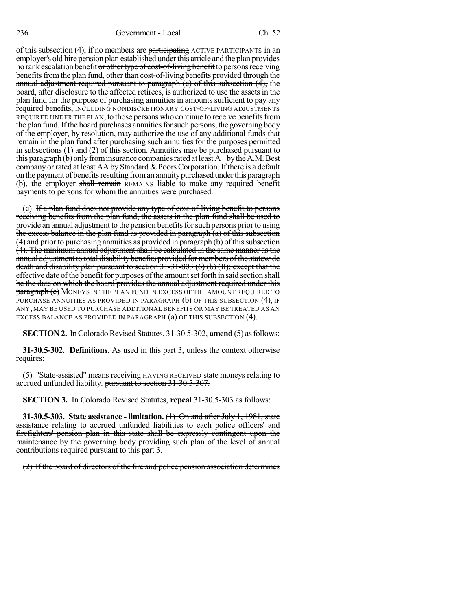of this subsection  $(4)$ , if no members are participating ACTIVE PARTICIPANTS in an employer's old hire pension plan established under this article and the plan provides no rank escalation benefit or other type of cost-of-living benefit to persons receiving benefits from the plan fund, other than cost-of-living benefits provided through the annual adjustment required pursuant to paragraph  $(e)$  of this subsection  $(4)$ , the board, after disclosure to the affected retirees, is authorized to use the assets in the plan fund for the purpose of purchasing annuities in amounts sufficient to pay any required benefits, INCLUDING NONDISCRETIONARY COST-OF-LIVING ADJUSTMENTS REQUIRED UNDER THE PLAN, to those persons who continue to receive benefits from the plan fund. If the board purchases annuities for such persons, the governing body of the employer, by resolution, may authorize the use of any additional funds that remain in the plan fund after purchasing such annuities for the purposes permitted in subsections (1) and (2) of this section. Annuities may be purchased pursuant to this paragraph (b) only from insurance companies rated at least  $A+$  by the A.M. Best company or rated at least AA by Standard  $& Poors Corporation.$  If there is a default on the payment of benefits resulting from an annuity purchased under this paragraph (b), the employer shall remain REMAINS liable to make any required benefit payments to persons for whom the annuities were purchased.

(c) If a plan fund does not provide any type of cost-of-living benefit to persons receiving benefits from the plan fund, the assets in the plan fund shall be used to provide an annual adjustment to the pension benefits for such persons prior to using the excess balance in the plan fund as provided in paragraph (a) of this subsection  $(4)$  and prior to purchasing annuities as provided in paragraph  $(b)$  of this subsection  $(4)$ . The minimum annual adjustment shall be calculated in the same manner as the annual adjustment to total disability benefits provided for members of the statewide death and disability plan pursuant to section 31-31-803 (6) (b) (II); except that the effective date of the benefit for purposes of the amount set forth in said section shall be the date on which the board provides the annual adjustment required under this **paragraph (c)** MONEYS IN THE PLAN FUND IN EXCESS OF THE AMOUNT REQUIRED TO PURCHASE ANNUITIES AS PROVIDED IN PARAGRAPH (b) OF THIS SUBSECTION (4), IF ANY, MAY BE USED TO PURCHASE ADDITIONAL BENEFITS OR MAY BE TREATED AS AN EXCESS BALANCE AS PROVIDED IN PARAGRAPH (a) OF THIS SUBSECTION (4).

**SECTION 2.** In Colorado Revised Statutes, 31-30.5-302, **amend** (5) as follows:

**31-30.5-302. Definitions.** As used in this part 3, unless the context otherwise requires:

(5) "State-assisted" means receiving HAVING RECEIVED state moneys relating to accrued unfunded liability. pursuant to section 31-30.5-307.

**SECTION 3.** In Colorado Revised Statutes, **repeal** 31-30.5-303 as follows:

**31-30.5-303. State assistance - limitation.** (1) On and after July 1, 1981, state assistance relating to accrued unfunded liabilities to each police officers' and firefighters' pension plan in this state shall be expressly contingent upon the maintenance by the governing body providing such plan of the level of annual contributions required pursuant to this part 3.

(2) If the board of directors of the fire and police pension association determines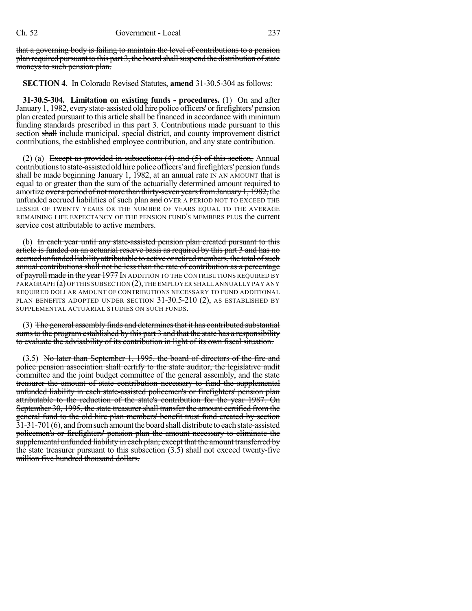that a governing body is failing to maintain the level of contributions to a pension  $plane$  plan required pursuant to this part 3, the board shall suspend the distribution of state moneys to such pension plan.

**SECTION 4.** In Colorado Revised Statutes, **amend** 31-30.5-304 as follows:

**31-30.5-304. Limitation on existing funds - procedures.** (1) On and after January 1, 1982, every state-assisted old hire police officers' or firefighters' pension plan created pursuant to this article shall be financed in accordance with minimum funding standards prescribed in this part 3. Contributions made pursuant to this section shall include municipal, special district, and county improvement district contributions, the established employee contribution, and any state contribution.

(2) (a) Except as provided in subsections  $(4)$  and  $(5)$  of this section, Annual contributions to state-assisted old hire police officers' and firefighters' pension funds shall be made beginning January 1, 1982, at an annual rate IN AN AMOUNT that is equal to or greater than the sum of the actuarially determined amount required to amortize over a period of not more than thirty-seven years from January 1, 1982, the unfunded accrued liabilities of such plan and OVER A PERIOD NOT TO EXCEED THE LESSER OF TWENTY YEARS OR THE NUMBER OF YEARS EQUAL TO THE AVERAGE REMAINING LIFE EXPECTANCY OF THE PENSION FUND'S MEMBERS PLUS the current service cost attributable to active members.

(b) In each year until any state-assisted pension plan created pursuant to this article is funded on an actuarial reserve basis as required by this part 3 and has no accrued unfunded liability attributable to active or retired members, the total of such annual contributions shall not be less than the rate of contribution as a percentage of payroll made in the year 1977 In ADDITION TO THE CONTRIBUTIONS REQUIRED BY PARAGRAPH (a) OF THIS SUBSECTION (2), THE EMPLOYER SHALL ANNUALLY PAY ANY REQUIRED DOLLAR AMOUNT OF CONTRIBUTIONS NECESSARY TO FUND ADDITIONAL PLAN BENEFITS ADOPTED UNDER SECTION 31-30.5-210 (2), AS ESTABLISHED BY SUPPLEMENTAL ACTUARIAL STUDIES ON SUCH FUNDS.

(3) The general assembly finds and determines that it has contributed substantial sums to the program established by this part 3 and that the state has a responsibility to evaluate the advisability of its contribution in light of its own fiscal situation.

(3.5) No later than September 1, 1995, the board of directors of the fire and police pension association shall certify to the state auditor, the legislative audit committee and the joint budget committee of the general assembly, and the state treasurer the amount of state contribution necessary to fund the supplemental unfunded liability in each state-assisted policemen's or firefighters' pension plan attributable to the reduction of the state's contribution for the year 1987. On September 30, 1995, the state treasurer shall transfer the amount certified from the general fund to the old hire plan members' benefit trust fund created by section  $31$ -31-701 (6), and from such amount the board shall distribute to each state-assisted policemen's or firefighters' pension plan the amount necessary to eliminate the supplemental unfunded liability in each plan; except that the amount transferred by the state treasurer pursuant to this subsection (3.5) shall not exceed twenty-five million five hundred thousand dollars.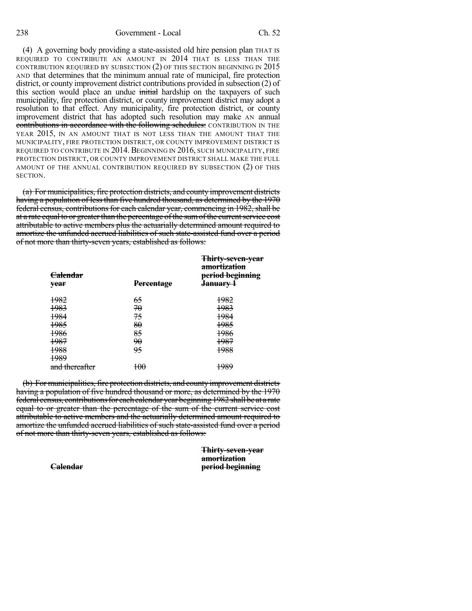(4) A governing body providing a state-assisted old hire pension plan THAT IS REQUIRED TO CONTRIBUTE AN AMOUNT IN 2014 THAT IS LESS THAN THE CONTRIBUTION REQUIRED BY SUBSECTION (2) OF THIS SECTION BEGINNING IN 2015 AND that determines that the minimum annual rate of municipal, fire protection district, or county improvement district contributions provided in subsection (2) of this section would place an undue initial hardship on the taxpayers of such municipality, fire protection district, or county improvement district may adopt a resolution to that effect. Any municipality, fire protection district, or county improvement district that has adopted such resolution may make AN annual contributions in accordance with the following schedules: CONTRIBUTION IN THE YEAR 2015, IN AN AMOUNT THAT IS NOT LESS THAN THE AMOUNT THAT THE MUNICIPALITY, FIRE PROTECTION DISTRICT, OR COUNTY IMPROVEMENT DISTRICT IS REQUIRED TO CONTRIBUTE IN 2014. BEGINNING IN 2016, SUCH MUNICIPALITY, FIRE PROTECTION DISTRICT, OR COUNTY IMPROVEMENT DISTRICT SHALL MAKE THE FULL AMOUNT OF THE ANNUAL CONTRIBUTION REQUIRED BY SUBSECTION (2) OF THIS SECTION.

(a) For municipalities, fire protection districts, and county improvement districts having a population of less than five hundred thousand, as determined by the 1970 federal census, contributions for each calendar year, commencing in 1982, shall be at a rate equal to or greater than the percentage of the sum of the current service cost attributable to active members plus the actuarially determined amount required to amortize the unfunded accrued liabilities of such state-assisted fund over a period of not more than thirty-seven years, established as follows:

| year           | <b>Percentage</b> | <b>Thirty-seven-year</b><br>amortization<br>period beginning<br>lanuarv |
|----------------|-------------------|-------------------------------------------------------------------------|
| 1982           | 65                | 1982                                                                    |
| 1983           | 70                | 1983                                                                    |
| 1984           | 75                | 1984                                                                    |
| 1985           | 80                | 1985                                                                    |
| 1986           | 85                | 1986                                                                    |
| 1987           | <del>90</del>     | 1987                                                                    |
| 1988           | 95                | 1988                                                                    |
| 1989           |                   |                                                                         |
| and thereafter | 100               | 1989                                                                    |

(b) For municipalities, fire protection districts, and county improvement districts having a population of five hundred thousand or more, as determined by the 1970 federal census, contributions for each calendar year beginning 1982 shall be at a rate equal to or greater than the percentage of the sum of the current service cost attributable to active members and the actuarially determined amount required to amortize the unfunded accrued liabilities of such state-assisted fund over a period of not more than thirty-seven years, established as follows:

> **Thirty-seven-year amortization Calendar period beginning**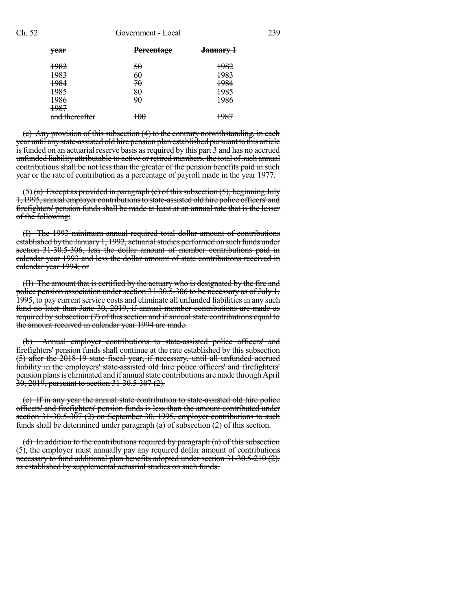#### Ch. 52 Government - Local 239

| vear           | <b>Percentage</b> | <del>January 1</del> |
|----------------|-------------------|----------------------|
| 1982           | 50                | 1982                 |
| 1983           | 60                | 1983                 |
| 1984           | 70                | 1984                 |
| 1985           | 80                | 1985                 |
| 1986           | 90                | 1986                 |
| 1987           |                   |                      |
| and thereafter | 100               | 1987                 |
|                |                   |                      |

(c) Any provision of this subsection (4) to the contrary notwithstanding, in each year until any state-assisted old hire pension plan established pursuant to this article is funded on an actuarial reserve basis as required by this part 3 and has no accrued unfunded liability attributable to active or retired members, the total of such annual contributions shall be not less than the greater of the pension benefits paid in such year or the rate of contribution as a percentage of payroll made in the year 1977.

 $(5)$  (a) Except as provided in paragraph (c) of this subsection (5), beginning July 1, 1995, annual employer contributionsto state-assisted old hire police officers' and firefighters' pension funds shall be made at least at an annual rate that is the lesser of the following:

(I) The 1993 minimum annual required total dollar amount of contributions established by the January 1, 1992, actuarial studies performed on such funds under section 31-30.5-306, less the dollar amount of member contributions paid in calendar year 1993 and less the dollar amount of state contributions received in calendar year 1994; or

(II) The amount that is certified by the actuary who is designated by the fire and police pension association under section 31-30.5-306 to be necessary as of July 1, 1995, to pay current service costs and eliminate all unfunded liabilities in any such fund no later than June 30, 2019, if annual member contributions are made as required by subsection (7) of this section and if annual state contributions equal to the amount received in calendar year 1994 are made.

(b) Annual employer contributions to state-assisted police officers' and firefighters' pension funds shall continue at the rate established by this subsection (5) after the 2018-19 state fiscal year, if necessary, until all unfunded accrued liability in the employers' state-assisted old hire police officers' and firefighters' pension plans is eliminated and if annual state contributions are made through April 30, 2019, pursuant to section 31-30.5-307 (2).

(c) If in any year the annual state contribution to state-assisted old hire police officers' and firefighters' pension funds is less than the amount contributed under section  $31-30.5-307(2)$  on September 30, 1995, employer contributions to such funds shall be determined under paragraph (a) of subsection (2) of this section.

(d) In addition to the contributions required by paragraph (a) of this subsection (5), the employer must annually pay any required dollar amount of contributions necessary to fund additional plan benefits adopted under section 31-30.5-210 (2), as established by supplemental actuarial studies on such funds.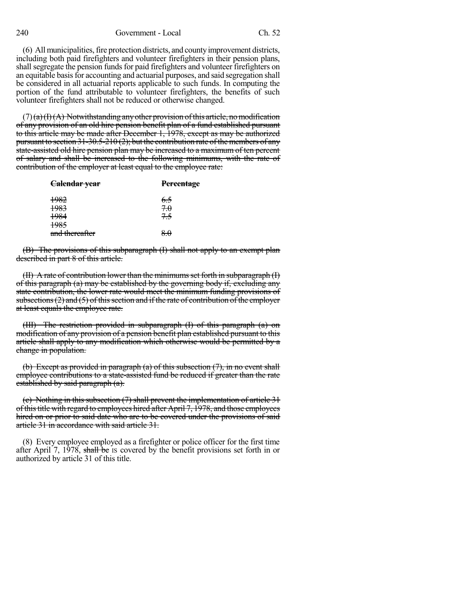(6) All municipalities, fire protection districts, and county improvement districts, including both paid firefighters and volunteer firefighters in their pension plans, shall segregate the pension funds for paid firefighters and volunteer firefighters on an equitable basis for accounting and actuarial purposes, and said segregation shall be considered in all actuarial reports applicable to such funds. In computing the portion of the fund attributable to volunteer firefighters, the benefits of such volunteer firefighters shall not be reduced or otherwise changed.

 $(7)(a)(H)(A)$  Notwithstanding any other provision of this article, no modification of any provision of an old hire pension benefit plan of a fund established pursuant to this article may be made after December 1, 1978, except as may be authorized pursuant to section 31-30.5-210 (2); but the contribution rate of the members of any state-assisted old hire pension plan may be increased to a maximum of ten percent of salary and shall be increased to the following minimums, with the rate of contribution of the employer at least equal to the employee rate:

| Calendar year   | <b>Percentage</b> |  |
|-----------------|-------------------|--|
| <del>1982</del> | 6.5               |  |
| 1983            | 7.0               |  |
| 1984            | 75                |  |
| 1985            |                   |  |
| and thereafter  | 8.0               |  |

(B) The provisions of this subparagraph (I) shall not apply to an exempt plan described in part 8 of this article.

 $(H)$  A rate of contribution lower than the minimums set forth in subparagraph  $(H)$ of this paragraph (a) may be established by the governing body if, excluding any state contribution, the lower rate would meet the minimum funding provisions of subsections  $(2)$  and  $(5)$  of this section and if the rate of contribution of the employer at least equals the employee rate.

(III) The restriction provided in subparagraph (I) of this paragraph (a) on modification of any provision of a pension benefit plan established pursuant to this article shall apply to any modification which otherwise would be permitted by a change in population.

(b) Except as provided in paragraph (a) of this subsection (7), in no event shall employee contributions to a state-assisted fund be reduced if greater than the rate established by said paragraph (a).

(c) Nothing in this subsection (7) shall prevent the implementation of article 31 ofthistitle with regard to employees hired after April 7, 1978, and those employees hired on or prior to said date who are to be covered under the provisions of said article 31 in accordance with said article 31.

(8) Every employee employed as a firefighter or police officer for the first time after April 7, 1978, shall be IS covered by the benefit provisions set forth in or authorized by article 31 of this title.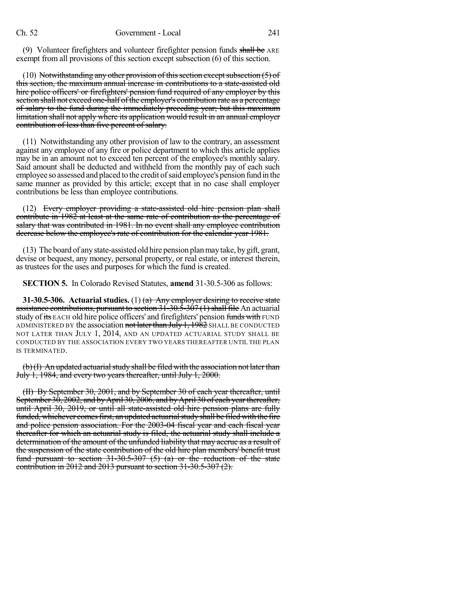(9) Volunteer firefighters and volunteer firefighter pension funds shall be ARE exempt from all provisions of this section except subsection (6) of this section.

(10) Notwithstanding any other provision of this section except subsection  $(5)$  of this section, the maximum annual increase in contributions to a state-assisted old hire police officers' or firefighters' pension fund required of any employer by this section shall not exceed one-half of the employer's contribution rate as a percentage of salary to the fund during the immediately preceding year; but this maximum limitation shall not apply where its application would result in an annual employer contribution of less than five percent of salary.

(11) Notwithstanding any other provision of law to the contrary, an assessment against any employee of any fire or police department to which this article applies may be in an amount not to exceed ten percent of the employee's monthly salary. Said amount shall be deducted and withheld from the monthly pay of each such employee so assessed and placed to the credit of said employee's pension fund in the same manner as provided by this article; except that in no case shall employer contributions be less than employee contributions.

(12) Every employer providing a state-assisted old hire pension plan shall contribute in 1982 at least at the same rate of contribution as the percentage of salary that was contributed in 1981. In no event shall any employee contribution decrease below the employee's rate of contribution for the calendar year 1981.

(13) The board of anystate-assisted old hire pension planmaytake, bygift, grant, devise or bequest, any money, personal property, or real estate, or interest therein, as trustees for the uses and purposes for which the fund is created.

**SECTION 5.** In Colorado Revised Statutes, **amend** 31-30.5-306 as follows:

**31-30.5-306. Actuarial studies.** (1) (a) Any employer desiring to receive state assistance contributions, pursuant to section  $31-30.5-307(1)$  shall file An actuarial study of its EACH old hire police officers' and firefighters' pension funds with FUND ADMINISTERED BY the association not later than  $July 1, 1982$  SHALL BE CONDUCTED NOT LATER THAN JULY 1, 2014, AND AN UPDATED ACTUARIAL STUDY SHALL BE CONDUCTED BY THE ASSOCIATION EVERY TWO YEARS THEREAFTER UNTIL THE PLAN IS TERMINATED.

 $(b)(I)$  An updated actuarial study shall be filed with the association not later than July 1, 1984, and every two years thereafter, until July 1, 2000.

(II) By September 30, 2001, and by September 30 of each year thereafter, until September 30, 2002, and by April 30, 2006, and by April 30 of each year thereafter, until April 30, 2019, or until all state-assisted old hire pension plans are fully funded, whichever comesfirst, an updated actuarialstudy shall be filed with the fire and police pension association. For the 2003-04 fiscal year and each fiscal year thereafter for which an actuarial study is filed, the actuarial study shall include a determination of the amount of the unfunded liability that may accrue as a result of the suspension of the state contribution of the old hire plan members' benefit trust fund pursuant to section  $31-30.5-307$  (5) (a) or the reduction of the state contribution in 2012 and 2013 pursuant to section 31-30.5-307 (2).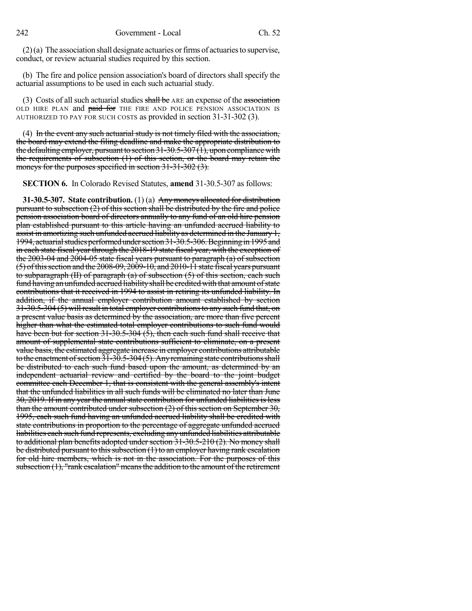$(2)(a)$  The association shall designate actuaries or firms of actuaries to supervise, conduct, or review actuarial studies required by this section.

(b) The fire and police pension association's board of directors shall specify the actuarial assumptions to be used in each such actuarial study.

(3) Costs of all such actuarial studies shall be  $ARE$  an expense of the association OLD HIRE PLAN and **paid for** THE FIRE AND POLICE PENSION ASSOCIATION IS AUTHORIZED TO PAY FOR SUCH COSTS as provided in section 31-31-302 (3).

(4) In the event any such actuarial study is not timely filed with the association, the board may extend the filing deadline and make the appropriate distribution to the defaulting employer, pursuant to section  $31-30.5-307(1)$ , upon compliance with the requirements of subsection (1) of this section, or the board may retain the moneys for the purposes specified in section 31-31-302 (3).

**SECTION 6.** In Colorado Revised Statutes, **amend** 31-30.5-307 as follows:

**31-30.5-307. State contribution.** (1) (a) Any moneys allocated for distribution pursuant to subsection (2) of this section shall be distributed by the fire and police pension association board of directors annually to any fund of an old hire pension plan established pursuant to this article having an unfunded accrued liability to assist in amortizing such unfunded accrued liability as determined in the January 1, 1994, actuarial studies performed under section 31-30.5-306. Beginning in 1995 and in each state fiscal year through the 2018-19 state fiscal year, with the exception of the 2003-04 and 2004-05 state fiscal years pursuant to paragraph (a) of subsection (5) ofthissection and the 2008-09, 2009-10, and 2010-11 state fiscal years pursuant to subparagraph (II) of paragraph (a) of subsection (5) of this section, each such fund having an unfunded accrued liability shall be credited with that amount of state contributions that it received in 1994 to assist in retiring its unfunded liability. In addition, if the annual employer contribution amount established by section 31-30.5-304 (5) willresult in total employer contributionsto any such fund that, on a present value basis as determined by the association, are more than five percent higher than what the estimated total employer contributions to such fund would have been but for section 31-30.5-304  $(5)$ , then each such fund shall receive that amount of supplemental state contributions sufficient to eliminate, on a present value basis, the estimated aggregate increase in employer contributions attributable to the enactment of section  $\overline{31}$ - $30.5$ - $304$  (5). Any remaining state contributions shall be distributed to each such fund based upon the amount, as determined by an independent actuarial review and certified by the board to the joint budget committee each December 1, that is consistent with the general assembly's intent that the unfunded liabilities in all such funds will be eliminated no later than June 30, 2019. If in any year the annual state contribution for unfunded liabilities is less than the amount contributed under subsection (2) of this section on September 30, 1995, each such fund having an unfunded accrued liability shall be credited with state contributions in proportion to the percentage of aggregate unfunded accrued liabilities each such fund represents, excluding any unfunded liabilities attributable to additional plan benefits adopted under section 31-30.5-210 (2). No money shall be distributed pursuant to this subsection  $(1)$  to an employer having rank escalation for old hire members, which is not in the association. For the purposes of this subsection  $(1)$ , "rank escalation" means the addition to the amount of the retirement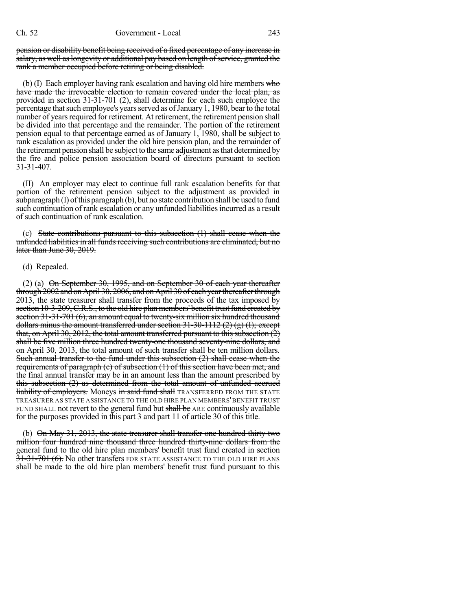pension or disability benefit being received of a fixed percentage of any increase in salary, as well as longevity or additional pay based on length of service, granted the rank a member occupied before retiring or being disabled.

(b) (I) Each employer having rank escalation and having old hire members  $w$  hotels have made the irrevocable election to remain covered under the local plan, as provided in section 31-31-701 (2), shall determine for each such employee the percentage that such employee's years served as of January 1, 1980, bear to the total number of years required for retirement. At retirement, the retirement pension shall be divided into that percentage and the remainder. The portion of the retirement pension equal to that percentage earned as of January 1, 1980, shall be subject to rank escalation as provided under the old hire pension plan, and the remainder of the retirement pension shall be subject to the same adjustment asthat determined by the fire and police pension association board of directors pursuant to section 31-31-407.

(II) An employer may elect to continue full rank escalation benefits for that portion of the retirement pension subject to the adjustment as provided in  $subparam$  (I) of this paragraph (b), but no state contribution shall be used to fund such continuation of rank escalation or any unfunded liabilitiesincurred as a result of such continuation of rank escalation.

(c) State contributions pursuant to this subsection (1) shall cease when the unfunded liabilities in all funds receiving such contributions are eliminated, but no later than June 30, 2019.

## (d) Repealed.

(2) (a)  $\Theta$ n September 30, 1995, and on September 30 of each year thereafter through 2002 and on April 30, 2006, and on April 30 of each yearthereafterthrough 2013, the state treasurer shall transfer from the proceeds of the tax imposed by section 10-3-209, C.R.S., to the old hire plan members' benefit trust fund created by section 31-31-701 (6), an amount equal to twenty-six million six hundred thousand dollars minus the amount transferred under section  $31-30-1112$  (2) (g) (I); except that, on April 30, 2012, the total amount transferred pursuant to this subsection  $(2)$ shall be five million three hundred twenty-one thousand seventy-nine dollars, and on April 30, 2013, the total amount of such transfer shall be ten million dollars. Such annual transfer to the fund under this subsection  $(2)$  shall cease when the requirements of paragraph (e) of subsection (1) of this section have been met, and the final annual transfer may be in an amount less than the amount prescribed by this subsection (2) as determined from the total amount of unfunded accrued **liability of employers.** Moneys in said fund shall TRANSFERRED FROM THE STATE TREASURER AS STATE ASSISTANCE TO THE OLD HIRE PLAN MEMBERS'BENEFIT TRUST FUND SHALL not revert to the general fund but shall be ARE continuously available for the purposes provided in this part 3 and part 11 of article 30 of this title.

(b) On May 31, 2013, the state treasurer shall transfer one hundred thirty-two million four hundred nine thousand three hundred thirty-nine dollars from the general fund to the old hire plan members' benefit trust fund created in section 31-31-701 (6). No other transfers FOR STATE ASSISTANCE TO THE OLD HIRE PLANS shall be made to the old hire plan members' benefit trust fund pursuant to this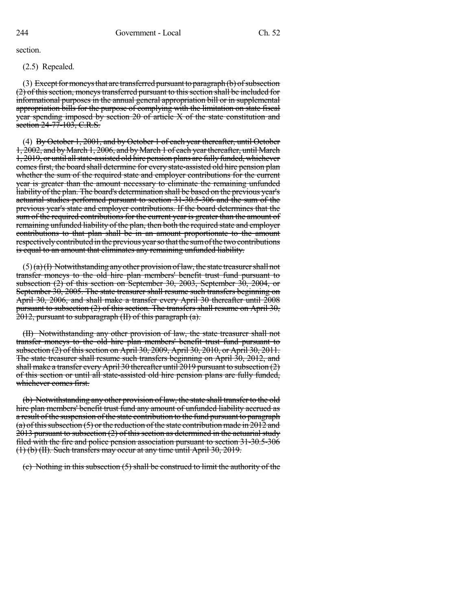section.

(2.5) Repealed.

(3) Except for moneys that are transferred pursuant to paragraph  $(b)$  of subsection (2) of this section, moneys transferred pursuant to this section shall be included for informational purposes in the annual general appropriation bill or in supplemental appropriation bills for the purpose of complying with the limitation on state fiscal year spending imposed by section 20 of article X of the state constitution and section 24-77-103, C.R.S.

(4) By October 1, 2001, and by October 1 of each year thereafter, until October 1, 2002, and byMarch 1, 2006, and byMarch 1 of each yearthereafter, until March 1, 2019, or until allstate-assisted old hire pension plans are fully funded, whichever comes first, the board shall determine for every state-assisted old hire pension plan whether the sum of the required state and employer contributions for the current year is greater than the amount necessary to eliminate the remaining unfunded liability of the plan. The board's determination shall be based on the previous year's actuarial studies performed pursuant to section 31-30.5-306 and the sum of the previous year's state and employer contributions. If the board determines that the sum of the required contributions for the current year is greater than the amount of remaining unfunded liability of the plan, then both the required state and employer contributions to that plan shall be in an amount proportionate to the amount respectively contributed in the previous year so that the sum of the two contributions is equal to an amount that eliminates any remaining unfunded liability.

 $(5)$ (a)(I) Notwithstanding any other provision of law, the state treasurer shall not transfer moneys to the old hire plan members' benefit trust fund pursuant to subsection (2) of this section on September 30, 2003, September 30, 2004, or September 30, 2005. The state treasurer shall resume such transfers beginning on April 30, 2006, and shall make a transfer every April 30 thereafter until 2008 pursuant to subsection (2) of this section. The transfers shall resume on April 30, 2012, pursuant to subparagraph (II) of this paragraph (a).

(II) Notwithstanding any other provision of law, the state treasurer shall not transfer moneys to the old hire plan members' benefit trust fund pursuant to subsection (2) of this section on April 30, 2009, April 30, 2010, or April 30, 2011. The state treasurer shall resume such transfers beginning on April 30, 2012, and shall make a transfer every April 30 thereafter until 2019 pursuant to subsection (2) of this section or until all state-assisted old hire pension plans are fully funded, whichever comes first.

(b) Notwithstanding any other provision of law, the state shall transfer to the old hire plan members' benefit trust fund any amount of unfunded liability accrued as a result of the suspension of the state contribution to the fund pursuant to paragraph (a) of this subsection (5) or the reduction of the state contribution made in 2012 and 2013 pursuant to subsection (2) of this section as determined in the actuarial study filed with the fire and police pension association pursuant to section 31-30.5-306 (1) (b) (II). Such transfers may occur at any time until April 30, 2019.

(c) Nothing in this subsection (5) shall be construed to limit the authority of the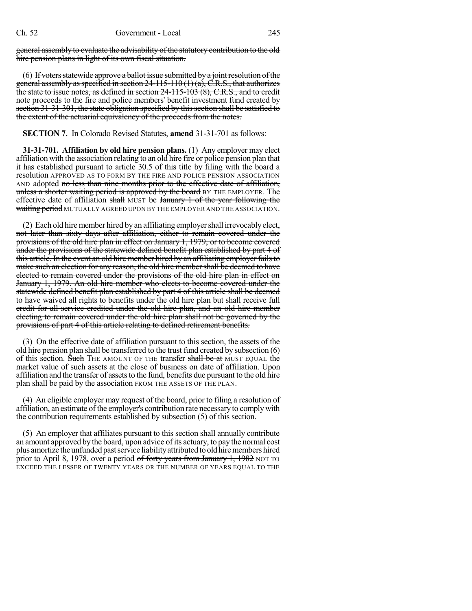general assembly to evaluate the advisability of the statutory contribution to the old hire pension plans in light of its own fiscal situation.

(6) If voters statewide approve a ballot issue submitted by a joint resolution of the general assembly as specified in section  $24-115-110(1)(a)$ , C.R.S., that authorizes the state to issue notes, as defined in section 24-115-103 (8), C.R.S., and to credit note proceeds to the fire and police members' benefit investment fund created by section 31-31-301, the state obligation specified by this section shall be satisfied to the extent of the actuarial equivalency of the proceeds from the notes.

### **SECTION 7.** In Colorado Revised Statutes, **amend** 31-31-701 as follows:

**31-31-701. Affiliation by old hire pension plans.** (1) Any employer may elect affiliation with the association relating to an old hire fire or police pension plan that it has established pursuant to article 30.5 of this title by filing with the board a resolution APPROVED AS TO FORM BY THE FIRE AND POLICE PENSION ASSOCIATION AND adopted no less than nine months prior to the effective date of affiliation, unless a shorter waiting period is approved by the board BY THE EMPLOYER. The effective date of affiliation shall MUST be January 1 of the year following the waiting period MUTUALLY AGREED UPON BY THE EMPLOYER AND THE ASSOCIATION.

(2) Each old hire member hired by an affiliating employer shall irrevocably elect, not later than sixty days after affiliation, either to remain covered under the provisions of the old hire plan in effect on January 1, 1979, or to become covered under the provisions of the statewide defined benefit plan established by part 4 of this article. In the event an old hire member hired by an affiliating employer failsto make such an election for any reason, the old hire member shall be deemed to have elected to remain covered under the provisions of the old hire plan in effect on January 1, 1979. An old hire member who elects to become covered under the statewide defined benefit plan established by part 4 of this article shall be deemed to have waived all rights to benefits under the old hire plan but shall receive full credit for all service credited under the old hire plan, and an old hire member electing to remain covered under the old hire plan shall not be governed by the provisions of part 4 of this article relating to defined retirement benefits.

(3) On the effective date of affiliation pursuant to this section, the assets of the old hire pension plan shall be transferred to the trust fund created by subsection (6) of this section. Such THE AMOUNT OF THE transfer shall be at MUST EQUAL the market value of such assets at the close of business on date of affiliation. Upon affiliation and the transfer of assets to the fund, benefits due pursuant to the old hire plan shall be paid by the association FROM THE ASSETS OF THE PLAN.

(4) An eligible employer may request of the board, prior to filing a resolution of affiliation, an estimate of the employer's contribution rate necessary to complywith the contribution requirements established by subsection (5) of this section.

(5) An employer that affiliates pursuant to this section shall annually contribute an amount approved by the board, upon advice of its actuary, to pay the normal cost plus amortize the unfunded past service liability attributed to old hire members hired prior to April 8, 1978, over a period of forty years from January 1, 1982 NOT TO EXCEED THE LESSER OF TWENTY YEARS OR THE NUMBER OF YEARS EQUAL TO THE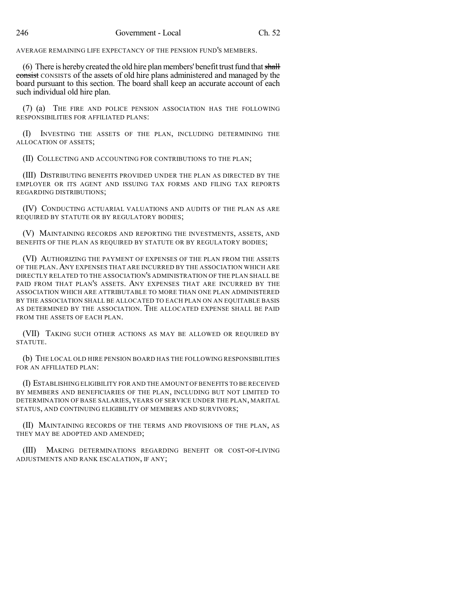AVERAGE REMAINING LIFE EXPECTANCY OF THE PENSION FUND'S MEMBERS.

(6) There is hereby created the old hire plan members' benefit trust fund that shall consist CONSISTS of the assets of old hire plans administered and managed by the board pursuant to this section. The board shall keep an accurate account of each such individual old hire plan.

(7) (a) THE FIRE AND POLICE PENSION ASSOCIATION HAS THE FOLLOWING RESPONSIBILITIES FOR AFFILIATED PLANS:

(I) INVESTING THE ASSETS OF THE PLAN, INCLUDING DETERMINING THE ALLOCATION OF ASSETS;

(II) COLLECTING AND ACCOUNTING FOR CONTRIBUTIONS TO THE PLAN;

(III) DISTRIBUTING BENEFITS PROVIDED UNDER THE PLAN AS DIRECTED BY THE EMPLOYER OR ITS AGENT AND ISSUING TAX FORMS AND FILING TAX REPORTS REGARDING DISTRIBUTIONS;

(IV) CONDUCTING ACTUARIAL VALUATIONS AND AUDITS OF THE PLAN AS ARE REQUIRED BY STATUTE OR BY REGULATORY BODIES;

(V) MAINTAINING RECORDS AND REPORTING THE INVESTMENTS, ASSETS, AND BENEFITS OF THE PLAN AS REQUIRED BY STATUTE OR BY REGULATORY BODIES;

(VI) AUTHORIZING THE PAYMENT OF EXPENSES OF THE PLAN FROM THE ASSETS OF THE PLAN.ANY EXPENSES THAT ARE INCURRED BY THE ASSOCIATION WHICH ARE DIRECTLY RELATED TO THE ASSOCIATION'S ADMINISTRATION OF THE PLAN SHALL BE PAID FROM THAT PLAN'S ASSETS. ANY EXPENSES THAT ARE INCURRED BY THE ASSOCIATION WHICH ARE ATTRIBUTABLE TO MORE THAN ONE PLAN ADMINISTERED BY THE ASSOCIATION SHALL BE ALLOCATED TO EACH PLAN ON AN EQUITABLE BASIS AS DETERMINED BY THE ASSOCIATION. THE ALLOCATED EXPENSE SHALL BE PAID FROM THE ASSETS OF EACH PLAN.

(VII) TAKING SUCH OTHER ACTIONS AS MAY BE ALLOWED OR REQUIRED BY STATUTE.

(b) THE LOCAL OLD HIRE PENSION BOARD HAS THE FOLLOWING RESPONSIBILITIES FOR AN AFFILIATED PLAN:

(I) ESTABLISHING ELIGIBILITY FOR AND THE AMOUNT OF BENEFITS TO BE RECEIVED BY MEMBERS AND BENEFICIARIES OF THE PLAN, INCLUDING BUT NOT LIMITED TO DETERMINATION OF BASE SALARIES, YEARS OF SERVICE UNDER THE PLAN, MARITAL STATUS, AND CONTINUING ELIGIBILITY OF MEMBERS AND SURVIVORS;

(II) MAINTAINING RECORDS OF THE TERMS AND PROVISIONS OF THE PLAN, AS THEY MAY BE ADOPTED AND AMENDED;

(III) MAKING DETERMINATIONS REGARDING BENEFIT OR COST-OF-LIVING ADJUSTMENTS AND RANK ESCALATION, IF ANY;